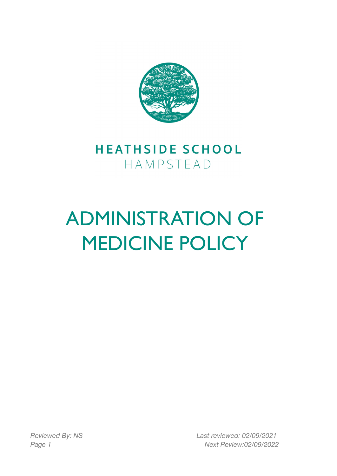

# **HEATHSIDE SCHOOL** HAMPSTEAD

# ADMINISTRATION OF MEDICINE POLICY

*Reviewed By: NS Last reviewed: 02/09/2021 Page 1 Next Review:02/09/2022*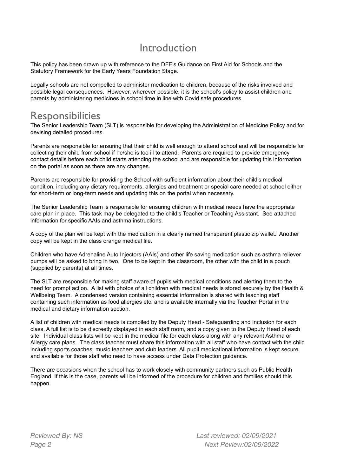# Introduction

This policy has been drawn up with reference to the DFE's Guidance on First Aid for Schools and the Statutory Framework for the Early Years Foundation Stage.

Legally schools are not compelled to administer medication to children, because of the risks involved and possible legal consequences. However, wherever possible, it is the school's policy to assist children and parents by administering medicines in school time in line with Covid safe procedures.

# **Responsibilities**

The Senior Leadership Team (SLT) is responsible for developing the Administration of Medicine Policy and for devising detailed procedures.

Parents are responsible for ensuring that their child is well enough to attend school and will be responsible for collecting their child from school if he/she is too ill to attend. Parents are required to provide emergency contact details before each child starts attending the school and are responsible for updating this information on the portal as soon as there are any changes.

Parents are responsible for providing the School with sufficient information about their child's medical condition, including any dietary requirements, allergies and treatment or special care needed at school either for short-term or long-term needs and updating this on the portal when necessary.

The Senior Leadership Team is responsible for ensuring children with medical needs have the appropriate care plan in place. This task may be delegated to the child's Teacher or Teaching Assistant. See attached information for specific AAIs and asthma instructions.

A copy of the plan will be kept with the medication in a clearly named transparent plastic zip wallet. Another copy will be kept in the class orange medical file.

Children who have Adrenaline Auto Injectors (AAIs) and other life saving medication such as asthma reliever pumps will be asked to bring in two. One to be kept in the classroom, the other with the child in a pouch (supplied by parents) at all times.

The SLT are responsible for making staff aware of pupils with medical conditions and alerting them to the need for prompt action. A list with photos of all children with medical needs is stored securely by the Health & Wellbeing Team. A condensed version containing essential information is shared with teaching staff containing such information as food allergies etc. and is available internally via the Teacher Portal in the medical and dietary information section.

A list of children with medical needs is compiled by the Deputy Head - Safeguarding and Inclusion for each class. A full list is to be discreetly displayed in each staff room, and a copy given to the Deputy Head of each site. Individual class lists will be kept in the medical file for each class along with any relevant Asthma or Allergy care plans. The class teacher must share this information with all staff who have contact with the child including sports coaches, music teachers and club leaders. All pupil medicational information is kept secure and available for those staff who need to have access under Data Protection guidance.

There are occasions when the school has to work closely with community partners such as Public Health England. If this is the case, parents will be informed of the procedure for children and families should this happen.

*Reviewed By: NS Last reviewed: 02/09/2021 Page 2 Next Review:02/09/2022*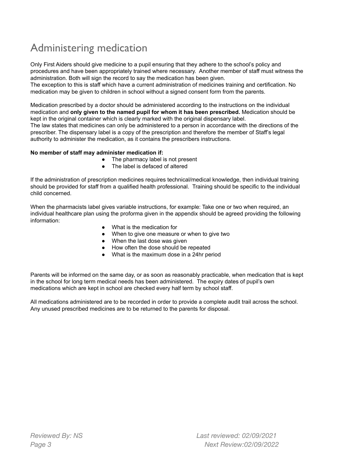# Administering medication

Only First Aiders should give medicine to a pupil ensuring that they adhere to the school's policy and procedures and have been appropriately trained where necessary. Another member of staff must witness the administration. Both will sign the record to say the medication has been given.

The exception to this is staff which have a current administration of medicines training and certification. No medication may be given to children in school without a signed consent form from the parents.

Medication prescribed by a doctor should be administered according to the instructions on the individual medication and **only given to the named pupil for whom it has been prescribed.** Medication should be kept in the original container which is clearly marked with the original dispensary label.

The law states that medicines can only be administered to a person in accordance with the directions of the prescriber. The dispensary label is a copy of the prescription and therefore the member of Staff's legal authority to administer the medication, as it contains the prescribers instructions.

#### **No member of staff may administer medication if:**

- The pharmacy label is not present
- The label is defaced of altered

If the administration of prescription medicines requires technical/medical knowledge, then individual training should be provided for staff from a qualified health professional. Training should be specific to the individual child concerned.

When the pharmacists label gives variable instructions, for example: Take one or two when required, an individual healthcare plan using the proforma given in the appendix should be agreed providing the following information:

- What is the medication for
- When to give one measure or when to give two
- When the last dose was given
- How often the dose should be repeated
- What is the maximum dose in a 24hr period

Parents will be informed on the same day, or as soon as reasonably practicable, when medication that is kept in the school for long term medical needs has been administered. The expiry dates of pupil's own medications which are kept in school are checked every half term by school staff.

All medications administered are to be recorded in order to provide a complete audit trail across the school. Any unused prescribed medicines are to be returned to the parents for disposal.

*Reviewed By: NS Last reviewed: 02/09/2021 Page 3 Next Review:02/09/2022*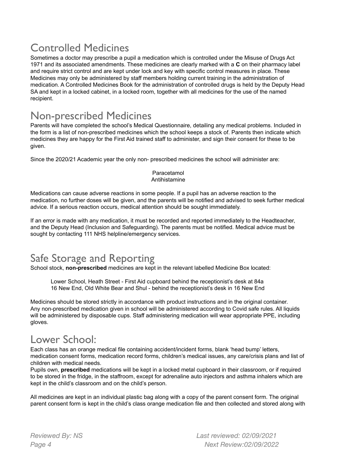# Controlled Medicines

Sometimes a doctor may prescribe a pupil a medication which is controlled under the Misuse of Drugs Act 1971 and its associated amendments. These medicines are clearly marked with a **C** on their pharmacy label and require strict control and are kept under lock and key with specific control measures in place. These Medicines may only be administered by staff members holding current training in the administration of medication. A Controlled Medicines Book for the administration of controlled drugs is held by the Deputy Head SA and kept in a locked cabinet, in a locked room, together with all medicines for the use of the named recipient.

# Non-prescribed Medicines

Parents will have completed the school's Medical Questionnaire, detailing any medical problems. Included in the form is a list of non-prescribed medicines which the school keeps a stock of. Parents then indicate which medicines they are happy for the First Aid trained staff to administer, and sign their consent for these to be given.

Since the 2020/21 Academic year the only non- prescribed medicines the school will administer are:

#### Paracetamol Antihistamine

Medications can cause adverse reactions in some people. If a pupil has an adverse reaction to the medication, no further doses will be given, and the parents will be notified and advised to seek further medical advice. If a serious reaction occurs, medical attention should be sought immediately.

If an error is made with any medication, it must be recorded and reported immediately to the Headteacher, and the Deputy Head (Inclusion and Safeguarding). The parents must be notified. Medical advice must be sought by contacting 111 NHS helpline/emergency services.

# Safe Storage and Reporting

School stock, **non-prescribed** medicines are kept in the relevant labelled Medicine Box located:

Lower School, Heath Street - First Aid cupboard behind the receptionist's desk at 84a 16 New End, Old White Bear and Shul - behind the receptionist's desk in 16 New End

Medicines should be stored strictly in accordance with product instructions and in the original container. Any non-prescribed medication given in school will be administered according to Covid safe rules. All liquids will be administered by disposable cups. Staff administering medication will wear appropriate PPE, including gloves.

# Lower School:

Each class has an orange medical file containing accident/incident forms, blank 'head bump' letters, medication consent forms, medication record forms, children's medical issues, any care/crisis plans and list of children with medical needs.

Pupils own, **prescribed** medications will be kept in a locked metal cupboard in their classroom, or if required to be stored in the fridge, in the staffroom, except for adrenaline auto injectors and asthma inhalers which are kept in the child's classroom and on the child's person.

All medicines are kept in an individual plastic bag along with a copy of the parent consent form. The original parent consent form is kept in the child's class orange medication file and then collected and stored along with

*Reviewed By: NS Last reviewed: 02/09/2021 Page 4 Next Review:02/09/2022*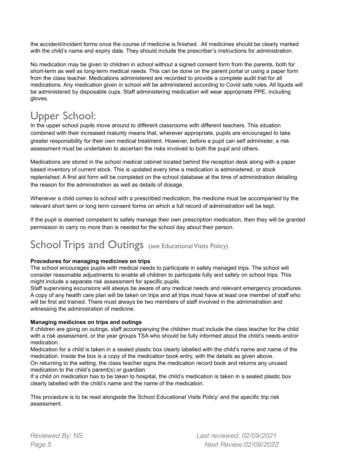the accident/incident forms once the course of medicine is finished. All medicines should be clearly marked with the child's name and expiry date. They should include the prescriber's instructions for administration.

No medication may be given to children in school without a signed consent form from the parents, both for short-term as well as long-term medical needs. This can be done on the parent portal or using a paper form from the class teacher. Medications administered are recorded to provide a complete audit trail for all medications. Any medication given in school will be administered according to Covid safe rules. All liquids will be administered by disposable cups. Staff administering medication will wear appropriate PPE, including gloves.

# Upper School:

In the upper school pupils move around to different classrooms with different teachers. This situation combined with their increased maturity means that, wherever appropriate, pupils are encouraged to take greater responsibility for their own medical treatment. However, before a pupil can self administer, a risk assessment must be undertaken to ascertain the risks involved to both the pupil and others.

Medications are stored in the school medical cabinet located behind the reception desk along with a paper based inventory of current stock. This is updated every time a medication is administered, or stock replenished. A first aid form will be completed on the school database at the time of administration detailing the reason for the administration as well as details of dosage.

Whenever a child comes to school with a prescribed medication, the medicine must be accompanied by the relevant short term or long term consent forms on which a full record of administration will be kept.

If the pupil is deemed competent to safely manage their own prescription medication, then they will be granted permission to carry no more than is needed for the school day about their person.

# School Trips and Outings (see Educational Visits Policy)

#### **Procedures for managing medicines on trips**

The school encourages pupils with medical needs to participate in safely managed trips. The school will consider reasonable adjustments to enable all children to participate fully and safely on school trips. This might include a separate risk assessment for specific pupils.

Staff supervising excursions will always be aware of any medical needs and relevant emergency procedures. A copy of any health care plan will be taken on trips and all trips must have at least one member of staff who will be first aid trained. There must always be two members of staff involved in the administration and witnessing the administration of medicine.

#### **Managing medicines on trips and outings**

If children are going on outings, staff accompanying the children must include the class teacher for the child with a risk assessment, or the year groups TSA who should be fully informed about the child's needs and/or medication.

Medication for a child is taken in a sealed plastic box clearly labelled with the child's name and name of the medication. Inside the box is a copy of the medication book entry, with the details as given above. On returning to the setting, the class teacher signs the medication record book and returns any unused medication to the child's parent(s) or guardian.

If a child on medication has to be taken to hospital, the child's medication is taken in a sealed plastic box clearly labelled with the child's name and the name of the medication.

This procedure is to be read alongside the School Educational Visits Policy' and the specific trip risk assessment.

*Reviewed By: NS Last reviewed: 02/09/2021 Page 5 Next Review:02/09/2022*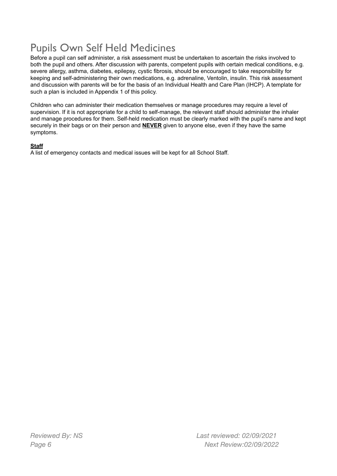# Pupils Own Self Held Medicines

Before a pupil can self administer, a risk assessment must be undertaken to ascertain the risks involved to both the pupil and others. After discussion with parents, competent pupils with certain medical conditions, e.g. severe allergy, asthma, diabetes, epilepsy, cystic fibrosis, should be encouraged to take responsibility for keeping and self-administering their own medications, e.g. adrenaline, Ventolin, insulin. This risk assessment and discussion with parents will be for the basis of an Individual Health and Care Plan (IHCP). A template for such a plan is included in Appendix 1 of this policy.

Children who can administer their medication themselves or manage procedures may require a level of supervision. If it is not appropriate for a child to self-manage, the relevant staff should administer the inhaler and manage procedures for them. Self-held medication must be clearly marked with the pupil's name and kept securely in their bags or on their person and **NEVER** given to anyone else, even if they have the same symptoms.

### **Staff**

A list of emergency contacts and medical issues will be kept for all School Staff.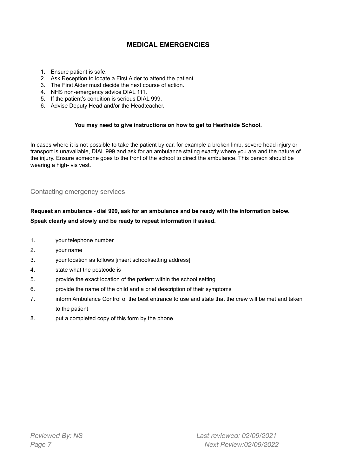### **MEDICAL EMERGENCIES**

- 1. Ensure patient is safe.
- 2. Ask Reception to locate a First Aider to attend the patient.
- 3. The First Aider must decide the next course of action.
- 4. NHS non-emergency advice DIAL 111.
- 5. If the patient's condition is serious DIAL 999.
- 6. Advise Deputy Head and/or the Headteacher.

#### **You may need to give instructions on how to get to Heathside School.**

In cases where it is not possible to take the patient by car, for example a broken limb, severe head injury or transport is unavailable, DIAL 999 and ask for an ambulance stating exactly where you are and the nature of the injury. Ensure someone goes to the front of the school to direct the ambulance. This person should be wearing a high- vis vest.

### Contacting emergency services

### **Request an ambulance - dial 999, ask for an ambulance and be ready with the information below. Speak clearly and slowly and be ready to repeat information if asked.**

- 1. your telephone number
- 2. your name
- 3. your location as follows [insert school/setting address]
- 4. state what the postcode is
- 5. provide the exact location of the patient within the school setting
- 6. provide the name of the child and a brief description of their symptoms
- 7. inform Ambulance Control of the best entrance to use and state that the crew will be met and taken to the patient
- 8. put a completed copy of this form by the phone

*Reviewed By: NS Last reviewed: 02/09/2021 Page 7 Next Review:02/09/2022*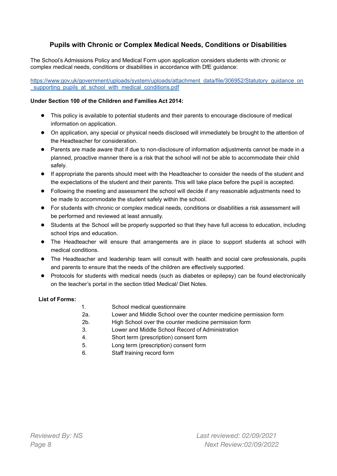### **Pupils with Chronic or Complex Medical Needs, Conditions or Disabilities**

The School's Admissions Policy and Medical Form upon application considers students with chronic or complex medical needs, conditions or disabilities in accordance with DfE guidance:

[https://www.gov.uk/government/uploads/system/uploads/attachment\\_data/file/306952/Statutory\\_guidance\\_on](https://www.gov.uk/government/uploads/system/uploads/attachment_data/file/306952/Statutory_guidance_on_supporting_pupils_at_school_with_medical_conditions.pdf) supporting pupils at school with medical conditions.pdf

#### **Under Section 100 of the Children and Families Act 2014:**

- This policy is available to potential students and their parents to encourage disclosure of medical information on application.
- On application, any special or physical needs disclosed will immediately be brought to the attention of the Headteacher for consideration.
- Parents are made aware that if due to non-disclosure of information adjustments cannot be made in a planned, proactive manner there is a risk that the school will not be able to accommodate their child safely.
- If appropriate the parents should meet with the Headteacher to consider the needs of the student and the expectations of the student and their parents. This will take place before the pupil is accepted.
- Following the meeting and assessment the school will decide if any reasonable adjustments need to be made to accommodate the student safely within the school.
- For students with chronic or complex medical needs, conditions or disabilities a risk assessment will be performed and reviewed at least annually.
- Students at the School will be properly supported so that they have full access to education, including school trips and education.
- The Headteacher will ensure that arrangements are in place to support students at school with medical conditions.
- The Headteacher and leadership team will consult with health and social care professionals, pupils and parents to ensure that the needs of the children are effectively supported.
- Protocols for students with medical needs (such as diabetes or epilepsy) can be found electronically on the teacher's portal in the section titled Medical/ Diet Notes.

#### **List of Forms:**

| 1.  | School medical questionnaire                                      |
|-----|-------------------------------------------------------------------|
| 2a. | Lower and Middle School over the counter medicine permission form |
| 2b. | High School over the counter medicine permission form             |
| 3.  | Lower and Middle School Record of Administration                  |
| 4.  | Short term (prescription) consent form                            |
| 5.  | Long term (prescription) consent form                             |
| 6.  | Staff training record form                                        |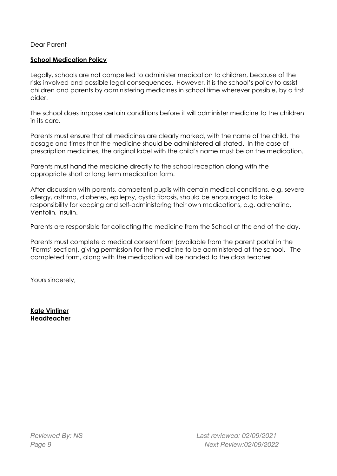Dear Parent

### **School Medication Policy**

Legally, schools are not compelled to administer medication to children, because of the risks involved and possible legal consequences. However, it is the school's policy to assist children and parents by administering medicines in school time wherever possible, by a first aider.

The school does impose certain conditions before it will administer medicine to the children in its care.

Parents must ensure that all medicines are clearly marked, with the name of the child, the dosage and times that the medicine should be administered all stated. In the case of prescription medicines, the original label with the child's name must be on the medication.

Parents must hand the medicine directly to the school reception along with the appropriate short or long term medication form.

After discussion with parents, competent pupils with certain medical conditions, e.g. severe allergy, asthma, diabetes, epilepsy, cystic fibrosis, should be encouraged to take responsibility for keeping and self-administering their own medications, e.g. adrenaline, Ventolin, insulin.

Parents are responsible for collecting the medicine from the School at the end of the day.

Parents must complete a medical consent form (available from the parent portal in the 'Forms' section), giving permission for the medicine to be administered at the school. The completed form, along with the medication will be handed to the class teacher.

Yours sincerely,

**Kate Vintiner Headteacher**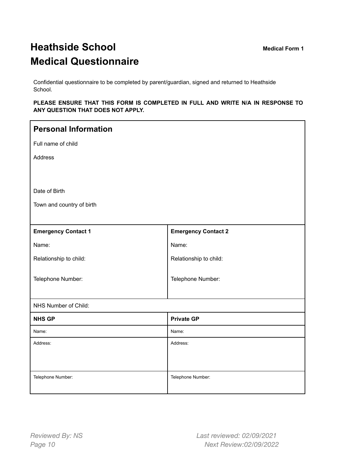# **Heathside School Medical Form 1 Medical Questionnaire**

Confidential questionnaire to be completed by parent/guardian, signed and returned to Heathside School.

#### **PLEASE ENSURE THAT THIS FORM IS COMPLETED IN FULL AND WRITE N/A IN RESPONSE TO ANY QUESTION THAT DOES NOT APPLY.**

| <b>Personal Information</b> |                            |
|-----------------------------|----------------------------|
| Full name of child          |                            |
| Address                     |                            |
|                             |                            |
| Date of Birth               |                            |
| Town and country of birth   |                            |
|                             |                            |
| <b>Emergency Contact 1</b>  | <b>Emergency Contact 2</b> |
| Name:                       | Name:                      |
| Relationship to child:      | Relationship to child:     |
| Telephone Number:           | Telephone Number:          |
| NHS Number of Child:        |                            |
| <b>NHS GP</b>               | <b>Private GP</b>          |
| Name:                       | Name:                      |
| Address:                    | Address:                   |
|                             |                            |
| Telephone Number:           | Telephone Number:          |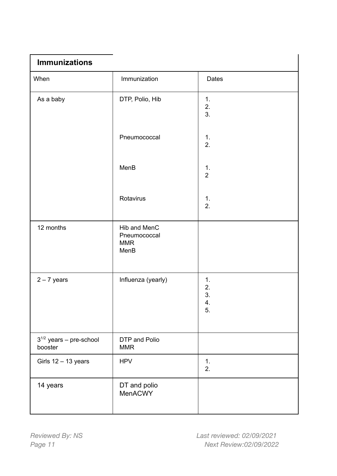| <b>Immunizations</b>                    |                                                    |                            |  |
|-----------------------------------------|----------------------------------------------------|----------------------------|--|
| When                                    | Immunization                                       | <b>Dates</b>               |  |
| As a baby                               | DTP, Polio, Hib                                    | 1.<br>2.<br>3.             |  |
|                                         | Pneumococcal                                       | 1.<br>2.                   |  |
|                                         | MenB                                               | 1.<br>$\overline{2}$       |  |
|                                         | Rotavirus                                          | 1.<br>2.                   |  |
| 12 months                               | Hib and MenC<br>Pneumococcal<br><b>MMR</b><br>MenB |                            |  |
| $2 - 7$ years                           | Influenza (yearly)                                 | 1.<br>2.<br>3.<br>4.<br>5. |  |
| $3^{1/2}$ years - pre-school<br>booster | DTP and Polio<br><b>MMR</b>                        |                            |  |
| Girls $12 - 13$ years                   | <b>HPV</b>                                         | 1.<br>2.                   |  |
| 14 years                                | DT and polio<br>MenACWY                            |                            |  |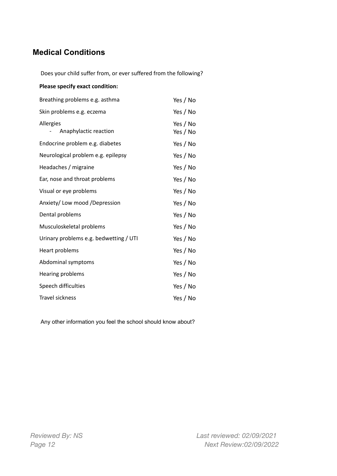### **Medical Conditions**

Does your child suffer from, or ever suffered from the following?

#### **Please specify exact condition:**

| Breathing problems e.g. asthma         | Yes / No             |
|----------------------------------------|----------------------|
| Skin problems e.g. eczema              | Yes / No             |
| Allergies<br>Anaphylactic reaction     | Yes / No<br>Yes / No |
| Endocrine problem e.g. diabetes        | Yes / No             |
| Neurological problem e.g. epilepsy     | Yes / No             |
| Headaches / migraine                   | Yes / No             |
| Ear, nose and throat problems          | Yes / No             |
| Visual or eye problems                 | Yes / No             |
| Anxiety/ Low mood /Depression          | Yes / No             |
| Dental problems                        | Yes / No             |
| Musculoskeletal problems               | Yes / No             |
| Urinary problems e.g. bedwetting / UTI | Yes / No             |
| Heart problems                         | Yes / No             |
| Abdominal symptoms                     | Yes / No             |
| Hearing problems                       | Yes / No             |
| Speech difficulties                    | Yes / No             |
| <b>Travel sickness</b>                 | Yes / No             |

Any other information you feel the school should know about?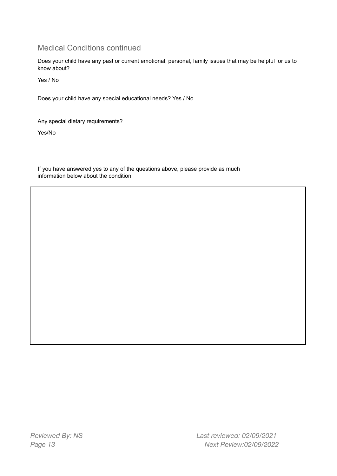### Medical Conditions continued

Does your child have any past or current emotional, personal, family issues that may be helpful for us to know about?

Yes / No

Does your child have any special educational needs? Yes / No

Any special dietary requirements?

Yes/No

If you have answered yes to any of the questions above, please provide as much information below about the condition: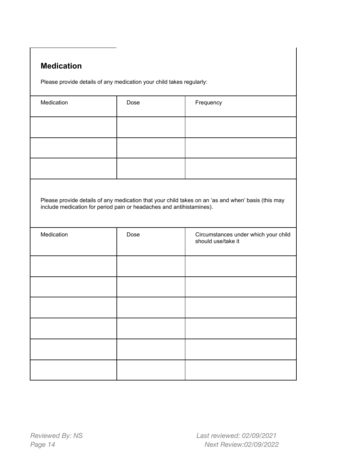### **Medication**

Please provide details of any medication your child takes regularly:

| Medication                                                           | Dose | Frequency                                                                                          |
|----------------------------------------------------------------------|------|----------------------------------------------------------------------------------------------------|
|                                                                      |      |                                                                                                    |
|                                                                      |      |                                                                                                    |
|                                                                      |      |                                                                                                    |
| include medication for period pain or headaches and antihistamines). |      | Please provide details of any medication that your child takes on an 'as and when' basis (this may |
| Medication                                                           | Dose | Circumstances under which your child<br>should use/take it                                         |
|                                                                      |      |                                                                                                    |
|                                                                      |      |                                                                                                    |
|                                                                      |      |                                                                                                    |
|                                                                      |      |                                                                                                    |
|                                                                      |      |                                                                                                    |
|                                                                      |      |                                                                                                    |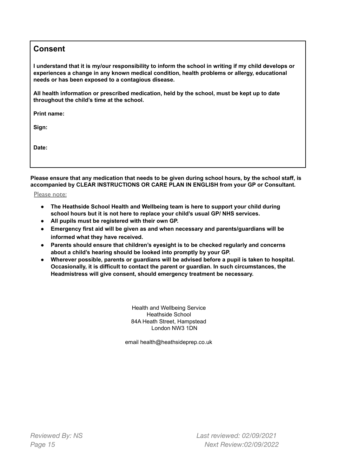### **Consent**

I understand that it is my/our responsibility to inform the school in writing if my child develops or **experiences a change in any known medical condition, health problems or allergy, educational needs or has been exposed to a contagious disease.**

**All health information or prescribed medication, held by the school, must be kept up to date throughout the child's time at the school.**

**Print name:**

**Sign:**

**Date:**

Please ensure that any medication that needs to be given during school hours, by the school staff, is **accompanied by CLEAR INSTRUCTIONS OR CARE PLAN IN ENGLISH from your GP or Consultant.**

Please note:

- **● The Heathside School Health and Wellbeing team is here to support your child during school hours but it is not here to replace your child's usual GP/ NHS services.**
- **● All pupils must be registered with their own GP.**
- **● Emergency first aid will be given as and when necessary and parents/guardians will be informed what they have received.**
- **● Parents should ensure that children's eyesight is to be checked regularly and concerns about a child's hearing should be looked into promptly by your GP.**
- **● Wherever possible, parents or guardians will be advised before a pupil is taken to hospital. Occasionally, it is difficult to contact the parent or guardian. In such circumstances, the Headmistress will give consent, should emergency treatment be necessary.**

Health and Wellbeing Service Heathside School 84A Heath Street, Hampstead London NW3 1DN

email health@heathsideprep.co.uk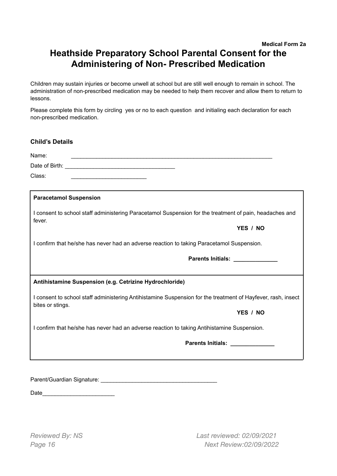### **Medical Form 2a Heathside Preparatory School Parental Consent for the Administering of Non- Prescribed Medication**

Children may sustain injuries or become unwell at school but are still well enough to remain in school. The administration of non-prescribed medication may be needed to help them recover and allow them to return to lessons.

Please complete this form by circling yes or no to each question and initialing each declaration for each non-prescribed medication.

| <b>Child's Details</b>                                                                                            |
|-------------------------------------------------------------------------------------------------------------------|
| Name:                                                                                                             |
|                                                                                                                   |
| Class:                                                                                                            |
| <b>Paracetamol Suspension</b>                                                                                     |
| I consent to school staff administering Paracetamol Suspension for the treatment of pain, headaches and<br>fever. |
| YES / NO                                                                                                          |
| I confirm that he/she has never had an adverse reaction to taking Paracetamol Suspension.                         |
| Parents Initials: <b>Parents Initials</b>                                                                         |
| Antihistamine Suspension (e.g. Cetrizine Hydrochloride)                                                           |
|                                                                                                                   |
| I consent to school staff administering Antihistamine Suspension for the treatment of Hayfever, rash, insect      |
| bites or stings.<br>YES / NO                                                                                      |
| I confirm that he/she has never had an adverse reaction to taking Antihistamine Suspension.                       |
| Parents Initials: ______________                                                                                  |

Parent/Guardian Signature: \_\_\_\_\_\_\_\_\_\_\_\_\_\_\_\_\_\_\_\_\_\_\_\_\_\_\_\_\_\_\_\_\_\_\_\_\_

Date\_\_\_\_\_\_\_\_\_\_\_\_\_\_\_\_\_\_\_\_\_\_\_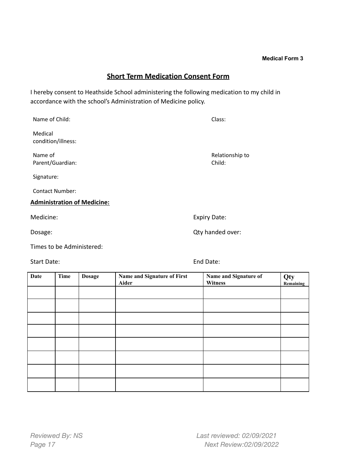### **Short Term Medication Consent Form**

I hereby consent to Heathside School administering the following medication to my child in accordance with the school's Administration of Medicine policy.

| Name of Child:                     | Class:                    |
|------------------------------------|---------------------------|
| Medical<br>condition/illness:      |                           |
| Name of<br>Parent/Guardian:        | Relationship to<br>Child: |
| Signature:                         |                           |
| <b>Contact Number:</b>             |                           |
| <b>Administration of Medicine:</b> |                           |
| Medicine:                          | <b>Expiry Date:</b>       |
| Dosage:                            | Qty handed over:          |
| Times to be Administered:          |                           |

Start Date: End Date:

| Date | Time | <b>Dosage</b> | Name and Signature of First<br>Aider | Name and Signature of<br><b>Witness</b> | Qty<br><b>Remaining</b> |
|------|------|---------------|--------------------------------------|-----------------------------------------|-------------------------|
|      |      |               |                                      |                                         |                         |
|      |      |               |                                      |                                         |                         |
|      |      |               |                                      |                                         |                         |
|      |      |               |                                      |                                         |                         |
|      |      |               |                                      |                                         |                         |
|      |      |               |                                      |                                         |                         |
|      |      |               |                                      |                                         |                         |
|      |      |               |                                      |                                         |                         |

**Medical Form 3**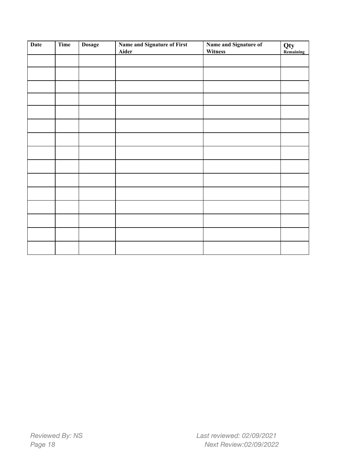| <b>Date</b> | <b>Time</b> | <b>Dosage</b> | Name and Signature of First<br>Aider | Name and Signature of<br>Witness | Qty<br>Remaining |
|-------------|-------------|---------------|--------------------------------------|----------------------------------|------------------|
|             |             |               |                                      |                                  |                  |
|             |             |               |                                      |                                  |                  |
|             |             |               |                                      |                                  |                  |
|             |             |               |                                      |                                  |                  |
|             |             |               |                                      |                                  |                  |
|             |             |               |                                      |                                  |                  |
|             |             |               |                                      |                                  |                  |
|             |             |               |                                      |                                  |                  |
|             |             |               |                                      |                                  |                  |
|             |             |               |                                      |                                  |                  |
|             |             |               |                                      |                                  |                  |
|             |             |               |                                      |                                  |                  |
|             |             |               |                                      |                                  |                  |
|             |             |               |                                      |                                  |                  |
|             |             |               |                                      |                                  |                  |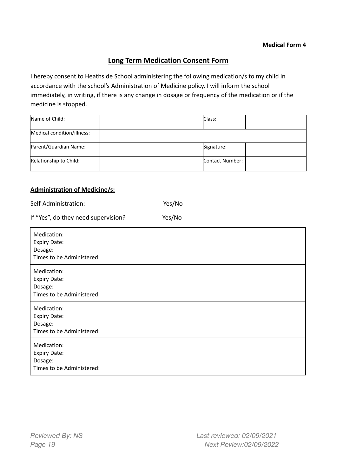### **Long Term Medication Consent Form**

I hereby consent to Heathside School administering the following medication/s to my child in accordance with the school's Administration of Medicine policy. I will inform the school immediately, in writing, if there is any change in dosage or frequency of the medication or if the medicine is stopped.

| Name of Child:             | Class:          |  |
|----------------------------|-----------------|--|
| Medical condition/illness: |                 |  |
| Parent/Guardian Name:      | Signature:      |  |
| Relationship to Child:     | Contact Number: |  |

#### **Administration of Medicine/s:**

| Self-Administration: |  |  | Yes/No |
|----------------------|--|--|--------|
|                      |  |  |        |

| If "Yes", do they need supervision?                                        | Yes/No |
|----------------------------------------------------------------------------|--------|
| Medication:<br><b>Expiry Date:</b><br>Dosage:<br>Times to be Administered: |        |
| Medication:<br><b>Expiry Date:</b><br>Dosage:<br>Times to be Administered: |        |
| Medication:<br><b>Expiry Date:</b><br>Dosage:<br>Times to be Administered: |        |
| Medication:<br><b>Expiry Date:</b><br>Dosage:<br>Times to be Administered: |        |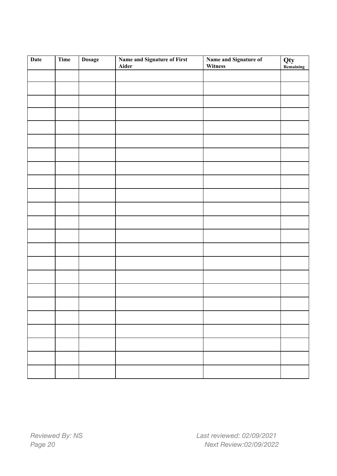| <b>Date</b> | Time | <b>Dosage</b> | Name and Signature of First<br>Aider | Name and Signature of<br>Witness | Qty<br>Remaining |
|-------------|------|---------------|--------------------------------------|----------------------------------|------------------|
|             |      |               |                                      |                                  |                  |
|             |      |               |                                      |                                  |                  |
|             |      |               |                                      |                                  |                  |
|             |      |               |                                      |                                  |                  |
|             |      |               |                                      |                                  |                  |
|             |      |               |                                      |                                  |                  |
|             |      |               |                                      |                                  |                  |
|             |      |               |                                      |                                  |                  |
|             |      |               |                                      |                                  |                  |
|             |      |               |                                      |                                  |                  |
|             |      |               |                                      |                                  |                  |
|             |      |               |                                      |                                  |                  |
|             |      |               |                                      |                                  |                  |
|             |      |               |                                      |                                  |                  |
|             |      |               |                                      |                                  |                  |
|             |      |               |                                      |                                  |                  |
|             |      |               |                                      |                                  |                  |
|             |      |               |                                      |                                  |                  |
|             |      |               |                                      |                                  |                  |
|             |      |               |                                      |                                  |                  |
|             |      |               |                                      |                                  |                  |
|             |      |               |                                      |                                  |                  |
|             |      |               |                                      |                                  |                  |